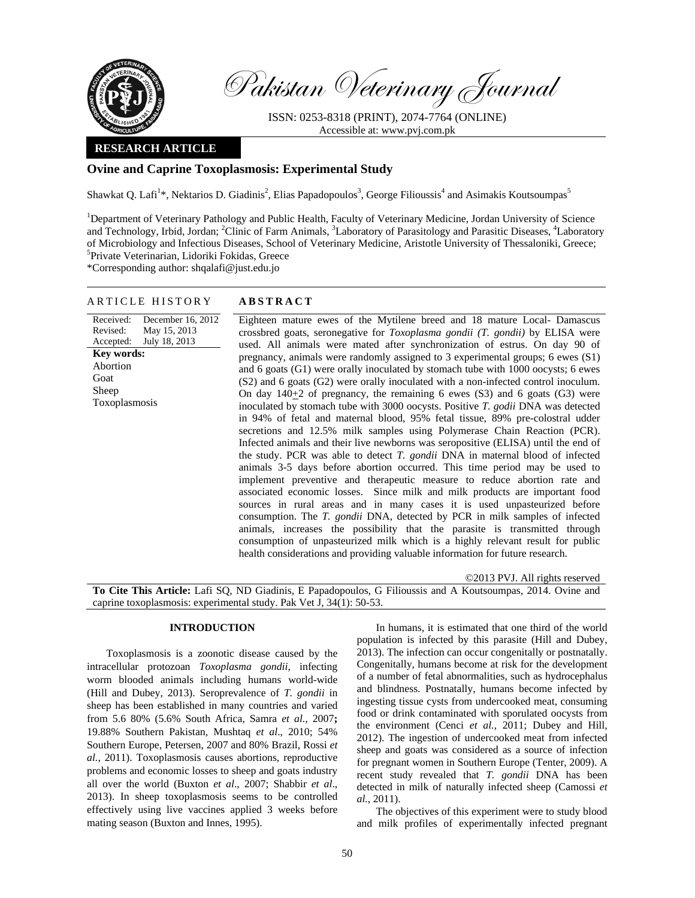

Pakistan Veterinary Journal

ISSN: 0253-8318 (PRINT), 2074-7764 (ONLINE) Accessible at: www.pvj.com.pk

## **RESEARCH ARTICLE**

# **Ovine and Caprine Toxoplasmosis: Experimental Study**

Shawkat Q. Lafi<sup>1\*</sup>, Nektarios D. Giadinis<sup>2</sup>, Elias Papadopoulos<sup>3</sup>, George Filioussis<sup>4</sup> and Asimakis Koutsoumpas<sup>5</sup>

<sup>1</sup>Department of Veterinary Pathology and Public Health, Faculty of Veterinary Medicine, Jordan University of Science and Technology, Irbid, Jordan; <sup>2</sup>Clinic of Farm Animals, <sup>3</sup>Laboratory of Parasitology and Parasitic Diseases, <sup>4</sup>Laboratory of Microbiology and Infectious Diseases, School of Veterinary Medicine, Aristotle University of Thessaloniki, Greece; 5 Private Veterinarian, Lidoriki Fokidas, Greece

\*Corresponding author: shqalafi@just.edu.jo

## ARTICLE HISTORY **ABSTRACT**

Received: Revised: Accepted: December 16, 2012 May 15, 2013 July 18, 2013 **Key words:**  Abortion Goat Sheep Toxoplasmosis

 Eighteen mature ewes of the Mytilene breed and 18 mature Local- Damascus crossbred goats, seronegative for *Toxoplasma gondii (T. gondii)* by ELISA were used. All animals were mated after synchronization of estrus. On day 90 of pregnancy, animals were randomly assigned to 3 experimental groups; 6 ewes (S1) and 6 goats (G1) were orally inoculated by stomach tube with 1000 oocysts; 6 ewes (S2) and 6 goats (G2) were orally inoculated with a non-infected control inoculum. On day  $140+2$  of pregnancy, the remaining 6 ewes (S3) and 6 goats (G3) were inoculated by stomach tube with 3000 oocysts. Positive *T. godii* DNA was detected in 94% of fetal and maternal blood, 95% fetal tissue, 89% pre-colostral udder secretions and 12.5% milk samples using Polymerase Chain Reaction (PCR). Infected animals and their live newborns was seropositive (ELISA) until the end of the study. PCR was able to detect *T. gondii* DNA in maternal blood of infected animals 3-5 days before abortion occurred. This time period may be used to implement preventive and therapeutic measure to reduce abortion rate and associated economic losses. Since milk and milk products are important food sources in rural areas and in many cases it is used unpasteurized before consumption. The *T. gondii* DNA, detected by PCR in milk samples of infected animals, increases the possibility that the parasite is transmitted through consumption of unpasteurized milk which is a highly relevant result for public health considerations and providing valuable information for future research.

©2013 PVJ. All rights reserved

**To Cite This Article:** Lafi SQ, ND Giadinis, E Papadopoulos, G Filioussis and A Koutsoumpas, 2014. Ovine and caprine toxoplasmosis: experimental study. Pak Vet J, 34(1): 50-53.

## **INTRODUCTION**

Toxoplasmosis is a zoonotic disease caused by the intracellular protozoan *Toxoplasma gondii*, infecting worm blooded animals including humans world-wide (Hill and Dubey, 2013). Seroprevalence of *T. gondii* in sheep has been established in many countries and varied from 5.6 80% (5.6% South Africa, Samra *et al.*, 2007**;** 19.88% Southern Pakistan, Mushtaq *et al*., 2010; 54% Southern Europe, Petersen, 2007 and 80% Brazil, Rossi *et al.*, 2011). Toxoplasmosis causes abortions, reproductive problems and economic losses to sheep and goats industry all over the world (Buxton *et al*., 2007; Shabbir *et al*., 2013). In sheep toxoplasmosis seems to be controlled effectively using live vaccines applied 3 weeks before mating season (Buxton and Innes, 1995).

In humans, it is estimated that one third of the world population is infected by this parasite (Hill and Dubey, 2013). The infection can occur congenitally or postnatally. Congenitally, humans become at risk for the development of a number of fetal abnormalities, such as hydrocephalus and blindness. Postnatally, humans become infected by ingesting tissue cysts from undercooked meat, consuming food or drink contaminated with sporulated oocysts from the environment (Cenci *et al.*, 2011; Dubey and Hill, 2012). The ingestion of undercooked meat from infected sheep and goats was considered as a source of infection for pregnant women in Southern Europe (Tenter, 2009). A recent study revealed that *T. gondii* DNA has been detected in milk of naturally infected sheep (Camossi *et al.*, 2011).

The objectives of this experiment were to study blood and milk profiles of experimentally infected pregnant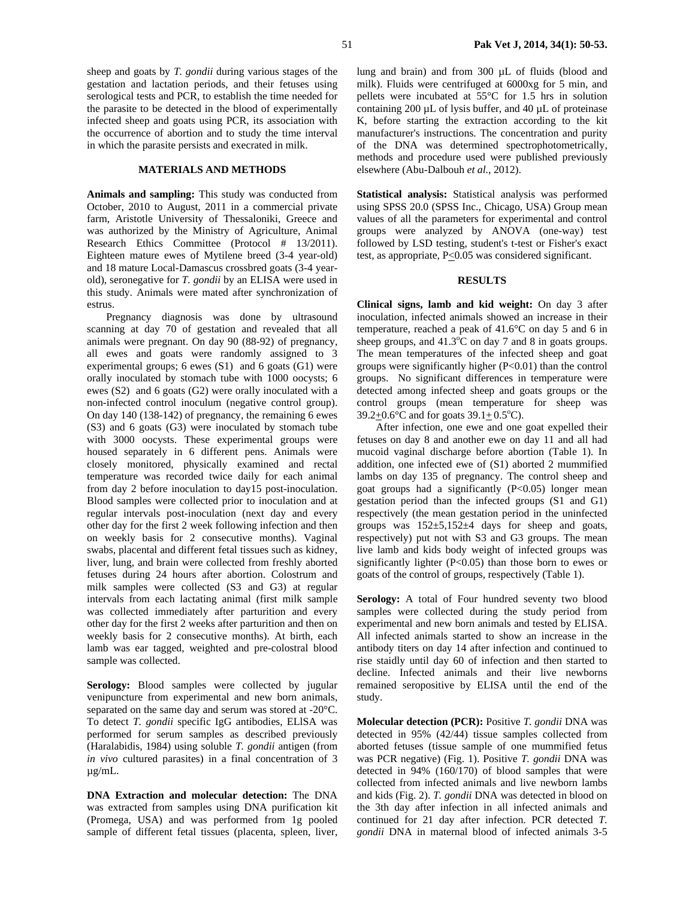sheep and goats by *T. gondii* during various stages of the gestation and lactation periods, and their fetuses using serological tests and PCR, to establish the time needed for the parasite to be detected in the blood of experimentally infected sheep and goats using PCR, its association with the occurrence of abortion and to study the time interval in which the parasite persists and execrated in milk.

## **MATERIALS AND METHODS**

**Animals and sampling:** This study was conducted from October, 2010 to August, 2011 in a commercial private farm, Aristotle University of Thessaloniki, Greece and was authorized by the Ministry of Agriculture, Animal Research Ethics Committee (Protocol # 13/2011). Eighteen mature ewes of Mytilene breed (3-4 year-old) and 18 mature Local-Damascus crossbred goats (3-4 yearold), seronegative for *T. gondii* by an ELISA were used in this study. Animals were mated after synchronization of estrus.

Pregnancy diagnosis was done by ultrasound scanning at day 70 of gestation and revealed that all animals were pregnant. On day 90 (88-92) of pregnancy, all ewes and goats were randomly assigned to 3 experimental groups; 6 ewes (S1) and 6 goats (G1) were orally inoculated by stomach tube with 1000 oocysts; 6 ewes (S2) and 6 goats (G2) were orally inoculated with a non-infected control inoculum (negative control group). On day 140 (138-142) of pregnancy, the remaining 6 ewes (S3) and 6 goats (G3) were inoculated by stomach tube with 3000 oocysts. These experimental groups were housed separately in 6 different pens. Animals were closely monitored, physically examined and rectal temperature was recorded twice daily for each animal from day 2 before inoculation to day15 post-inoculation. Blood samples were collected prior to inoculation and at regular intervals post-inoculation (next day and every other day for the first 2 week following infection and then on weekly basis for 2 consecutive months). Vaginal swabs, placental and different fetal tissues such as kidney, liver, lung, and brain were collected from freshly aborted fetuses during 24 hours after abortion. Colostrum and milk samples were collected (S3 and G3) at regular intervals from each lactating animal (first milk sample was collected immediately after parturition and every other day for the first 2 weeks after parturition and then on weekly basis for 2 consecutive months). At birth, each lamb was ear tagged, weighted and pre-colostral blood sample was collected.

Serology: Blood samples were collected by jugular venipuncture from experimental and new born animals, separated on the same day and serum was stored at -20°C. To detect *T. gondii* specific IgG antibodies, ELlSA was performed for serum samples as described previously (Haralabidis, 1984) using soluble *T. gondii* antigen (from *in vivo* cultured parasites) in a final concentration of 3 µg/mL.

**DNA Extraction and molecular detection:** The DNA was extracted from samples using DNA purification kit (Promega, USA) and was performed from 1g pooled sample of different fetal tissues (placenta, spleen, liver, lung and brain) and from 300 µL of fluids (blood and milk). Fluids were centrifuged at 6000xg for 5 min, and pellets were incubated at 55°C for 1.5 hrs in solution containing 200  $\mu$ L of lysis buffer, and 40  $\mu$ L of proteinase K, before starting the extraction according to the kit manufacturer's instructions. The concentration and purity of the DNA was determined spectrophotometrically, methods and procedure used were published previously elsewhere (Abu-Dalbouh *et al.*, 2012).

**Statistical analysis:** Statistical analysis was performed using SPSS 20.0 (SPSS Inc., Chicago, USA) Group mean values of all the parameters for experimental and control groups were analyzed by ANOVA (one-way) test followed by LSD testing, student's t-test or Fisher's exact test, as appropriate,  $P \le 0.05$  was considered significant.

#### **RESULTS**

**Clinical signs, lamb and kid weight:** On day 3 after inoculation, infected animals showed an increase in their temperature, reached a peak of 41.6°C on day 5 and 6 in sheep groups, and  $41.3^{\circ}$ C on day 7 and 8 in goats groups. The mean temperatures of the infected sheep and goat groups were significantly higher (P<0.01) than the control groups. No significant differences in temperature were detected among infected sheep and goats groups or the control groups (mean temperature for sheep was 39.2 $\pm$ 0.6°C and for goats 39.1 $\pm$ 0.5°C).

After infection, one ewe and one goat expelled their fetuses on day 8 and another ewe on day 11 and all had mucoid vaginal discharge before abortion (Table 1). In addition, one infected ewe of (S1) aborted 2 mummified lambs on day 135 of pregnancy. The control sheep and goat groups had a significantly  $(P<0.05)$  longer mean gestation period than the infected groups (S1 and G1) respectively (the mean gestation period in the uninfected groups was  $152 \pm 5,152 \pm 4$  days for sheep and goats, respectively) put not with S3 and G3 groups. The mean live lamb and kids body weight of infected groups was significantly lighter  $(P<0.05)$  than those born to ewes or goats of the control of groups, respectively (Table 1).

Serology: A total of Four hundred seventy two blood samples were collected during the study period from experimental and new born animals and tested by ELISA. All infected animals started to show an increase in the antibody titers on day 14 after infection and continued to rise staidly until day 60 of infection and then started to decline. Infected animals and their live newborns remained seropositive by ELISA until the end of the study.

**Molecular detection (PCR):** Positive *T. gondii* DNA was detected in 95% (42/44) tissue samples collected from aborted fetuses (tissue sample of one mummified fetus was PCR negative) (Fig. 1). Positive *T. gondii* DNA was detected in 94% (160/170) of blood samples that were collected from infected animals and live newborn lambs and kids (Fig. 2). *T. gondii* DNA was detected in blood on the 3th day after infection in all infected animals and continued for 21 day after infection. PCR detected *T. gondii* DNA in maternal blood of infected animals 3-5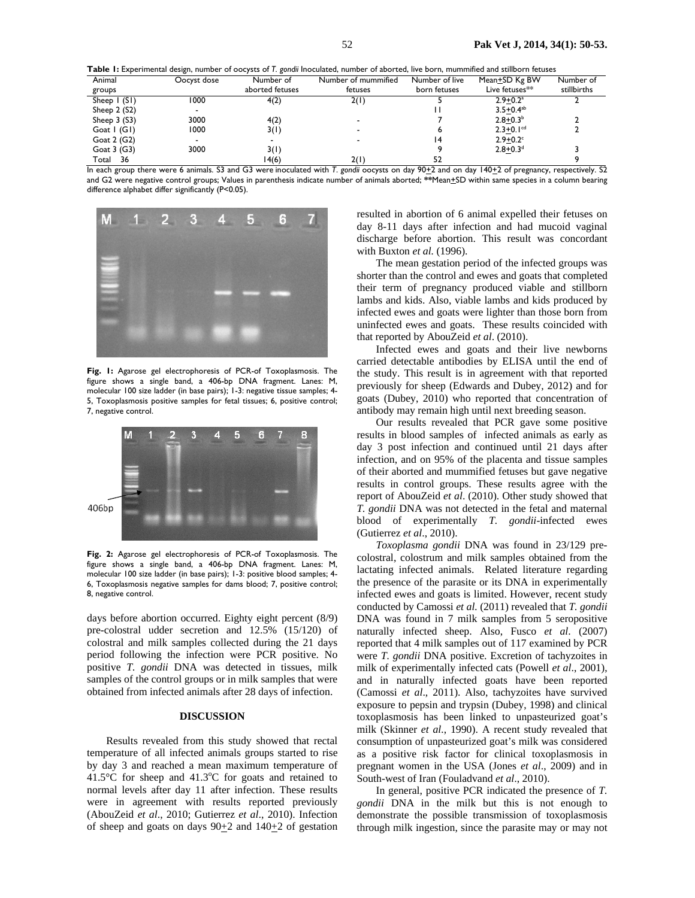| Table I: Experimental design, number of oocysts of T. gondii Inoculated, number of aborted, live born, mummified and stillborn fetuses |             |                 |                     |                |                            |             |
|----------------------------------------------------------------------------------------------------------------------------------------|-------------|-----------------|---------------------|----------------|----------------------------|-------------|
| Animal                                                                                                                                 | Oocyst dose | Number of       | Number of mummified | Number of live | Mean±SD Kg BW              | Number of   |
| groups                                                                                                                                 |             | aborted fetuses | fetuses             | born fetuses   | Live fetuses <sup>**</sup> | stillbirths |
| Sheep $\mid$ (S1)                                                                                                                      | 1000        | 4(2)            | 2(1)                |                | $2.9 + 0.2^a$              |             |
| Sheep $2(52)$                                                                                                                          |             |                 |                     |                | $3.5 + 0.4^{ab}$           |             |
| Sheep $3(53)$                                                                                                                          | 3000        | 4(2)            |                     |                | $2.8 + 0.3b$               |             |

Goat 1 (G1) 1000 3(1) - 6 2.3 $\pm$ 0.1cd 2

Goat 2 (G2) - - - - - - - - - - - - - - 14 2.9+0.2cm

 $2.9 + 0.2^{\circ}$ <br>2.8+0.3<sup>d</sup> Goat 3 (G3) 3000 3(1) 3000 3(1) 9 2.8 $\pm$ 0.3d 3 Total 36 14(6) 2(1) 52 9 In each group there were 6 animals. S3 and G3 were inoculated with *T. gondii* oocysts on day 90±2 and on day 140±2 of pregnancy, respectively. S2 and G2 were negative control groups; Values in parenthesis indicate number of animals aborted; **\*\***Mean+SD within same species in a column bearing



**Fig. 1:** Agarose gel electrophoresis of PCR-of Toxoplasmosis. The figure shows a single band, a 406-bp DNA fragment. Lanes: M, molecular 100 size ladder (in base pairs); 1-3: negative tissue samples; 4- 5, Toxoplasmosis positive samples for fetal tissues; 6, positive control; 7, negative control.



**Fig. 2:** Agarose gel electrophoresis of PCR-of Toxoplasmosis. The figure shows a single band, a 406-bp DNA fragment. Lanes: M, molecular 100 size ladder (in base pairs); 1-3: positive blood samples; 4- 6, Toxoplasmosis negative samples for dams blood; 7, positive control; 8, negative control.

days before abortion occurred. Eighty eight percent (8/9) pre-colostral udder secretion and 12.5% (15/120) of colostral and milk samples collected during the 21 days period following the infection were PCR positive. No positive *T. gondii* DNA was detected in tissues, milk samples of the control groups or in milk samples that were obtained from infected animals after 28 days of infection.

## **DISCUSSION**

Results revealed from this study showed that rectal temperature of all infected animals groups started to rise by day 3 and reached a mean maximum temperature of  $41.5^{\circ}$ C for sheep and  $41.3^{\circ}$ C for goats and retained to normal levels after day 11 after infection. These results were in agreement with results reported previously (AbouZeid *et al*., 2010; Gutierrez *et al*., 2010). Infection of sheep and goats on days  $90\pm 2$  and  $140\pm 2$  of gestation

resulted in abortion of 6 animal expelled their fetuses on day 8-11 days after infection and had mucoid vaginal discharge before abortion. This result was concordant with Buxton *et al.* (1996).

The mean gestation period of the infected groups was shorter than the control and ewes and goats that completed their term of pregnancy produced viable and stillborn lambs and kids. Also, viable lambs and kids produced by infected ewes and goats were lighter than those born from uninfected ewes and goats. These results coincided with that reported by AbouZeid *et al*. (2010).

Infected ewes and goats and their live newborns carried detectable antibodies by ELISA until the end of the study. This result is in agreement with that reported previously for sheep (Edwards and Dubey, 2012) and for goats (Dubey, 2010) who reported that concentration of antibody may remain high until next breeding season.

Our results revealed that PCR gave some positive results in blood samples of infected animals as early as day 3 post infection and continued until 21 days after infection, and on 95% of the placenta and tissue samples of their aborted and mummified fetuses but gave negative results in control groups. These results agree with the report of AbouZeid *et al*. (2010). Other study showed that *T. gondii* DNA was not detected in the fetal and maternal blood of experimentally *T. gondii*-infected ewes (Gutierrez *et al*., 2010).

*Toxoplasma gondii* DNA was found in 23/129 precolostral, colostrum and milk samples obtained from the lactating infected animals. Related literature regarding the presence of the parasite or its DNA in experimentally infected ewes and goats is limited. However, recent study conducted by Camossi *et al.* (2011) revealed that *T. gondii* DNA was found in 7 milk samples from 5 seropositive naturally infected sheep. Also, Fusco *et al*. (2007) reported that 4 milk samples out of 117 examined by PCR were *T. gondii* DNA positive. Excretion of tachyzoites in milk of experimentally infected cats (Powell *et al*., 2001), and in naturally infected goats have been reported (Camossi *et al*., 2011). Also, tachyzoites have survived exposure to pepsin and trypsin (Dubey, 1998) and clinical toxoplasmosis has been linked to unpasteurized goat's milk (Skinner *et al.*, 1990). A recent study revealed that consumption of unpasteurized goat's milk was considered as a positive risk factor for clinical toxoplasmosis in pregnant women in the USA (Jones *et al*., 2009) and in South-west of Iran (Fouladvand *et al*., 2010).

In general, positive PCR indicated the presence of *T. gondii* DNA in the milk but this is not enough to demonstrate the possible transmission of toxoplasmosis through milk ingestion, since the parasite may or may not